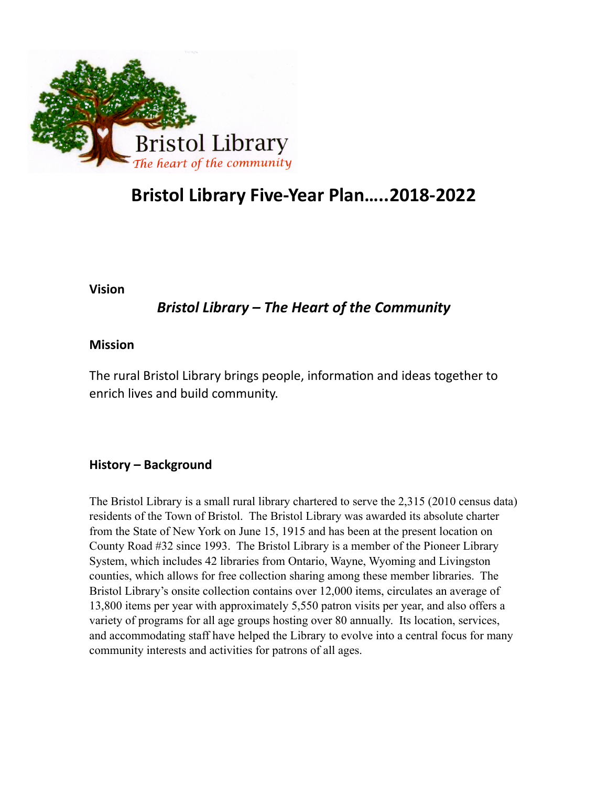

# **Bristol Library Five-Year Plan…..2018-2022**

**Vision** 

## *Bristol Library – The Heart of the Community*

### **Mission**

The rural Bristol Library brings people, information and ideas together to enrich lives and build community.

## **History – Background**

The Bristol Library is a small rural library chartered to serve the 2,315 (2010 census data) residents of the Town of Bristol. The Bristol Library was awarded its absolute charter from the State of New York on June 15, 1915 and has been at the present location on County Road #32 since 1993. The Bristol Library is a member of the Pioneer Library System, which includes 42 libraries from Ontario, Wayne, Wyoming and Livingston counties, which allows for free collection sharing among these member libraries. The Bristol Library's onsite collection contains over 12,000 items, circulates an average of 13,800 items per year with approximately 5,550 patron visits per year, and also offers a variety of programs for all age groups hosting over 80 annually. Its location, services, and accommodating staff have helped the Library to evolve into a central focus for many community interests and activities for patrons of all ages.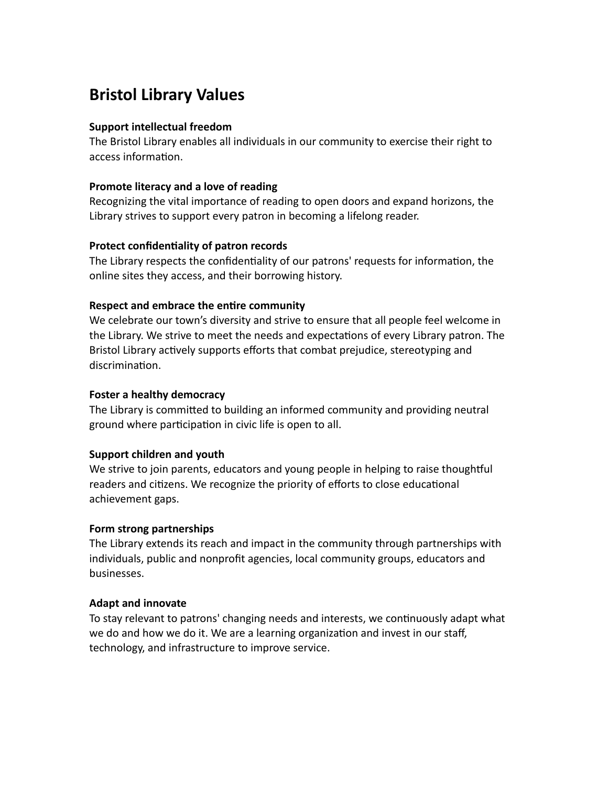# **Bristol Library Values**

#### **Support intellectual freedom**

The Bristol Library enables all individuals in our community to exercise their right to access information.

#### **Promote literacy and a love of reading**

Recognizing the vital importance of reading to open doors and expand horizons, the Library strives to support every patron in becoming a lifelong reader.

#### **Protect confidentiality of patron records**

The Library respects the confidentiality of our patrons' requests for information, the online sites they access, and their borrowing history.

#### **Respect and embrace the entire community**

We celebrate our town's diversity and strive to ensure that all people feel welcome in the Library. We strive to meet the needs and expectations of every Library patron. The Bristol Library actively supports efforts that combat prejudice, stereotyping and discrimination.

#### **Foster a healthy democracy**

The Library is committed to building an informed community and providing neutral ground where participation in civic life is open to all.

#### **Support children and youth**

We strive to join parents, educators and young people in helping to raise thoughtful readers and citizens. We recognize the priority of efforts to close educational achievement gaps.

#### **Form strong partnerships**

The Library extends its reach and impact in the community through partnerships with individuals, public and nonprofit agencies, local community groups, educators and businesses.

#### **Adapt and innovate**

To stay relevant to patrons' changing needs and interests, we continuously adapt what we do and how we do it. We are a learning organization and invest in our staff, technology, and infrastructure to improve service.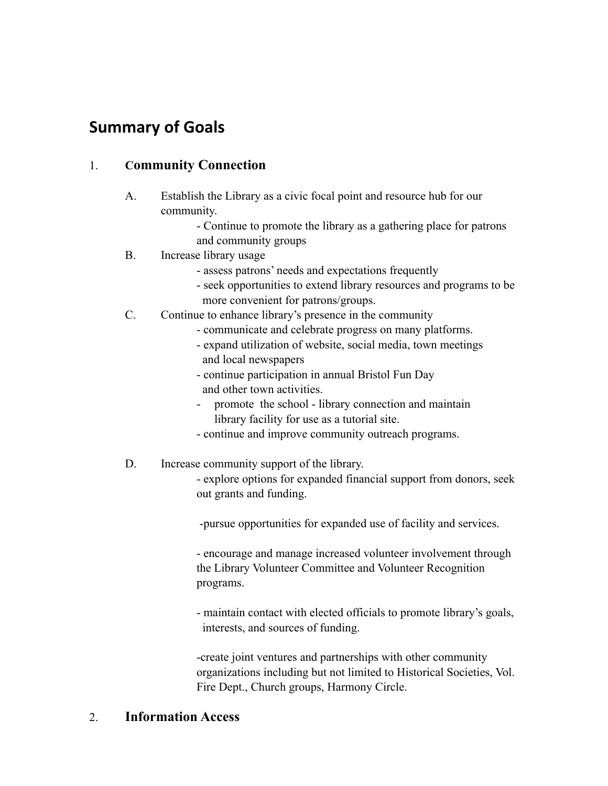# **Summary of Goals**

## 1. **Community Connection**

- A. Establish the Library as a civic focal point and resource hub for our community.
	- Continue to promote the library as a gathering place for patrons and community groups
- B. Increase library usage
	- assess patrons' needs and expectations frequently
	- seek opportunities to extend library resources and programs to be more convenient for patrons/groups.
- C. Continue to enhance library's presence in the community
	- communicate and celebrate progress on many platforms.
	- expand utilization of website, social media, town meetings and local newspapers
	- continue participation in annual Bristol Fun Day and other town activities.
	- promote the school library connection and maintain library facility for use as a tutorial site.
	- continue and improve community outreach programs.
- D. Increase community support of the library.
	- explore options for expanded financial support from donors, seek out grants and funding.

-pursue opportunities for expanded use of facility and services.

- encourage and manage increased volunteer involvement through the Library Volunteer Committee and Volunteer Recognition programs.

- maintain contact with elected officials to promote library's goals, interests, and sources of funding.

-create joint ventures and partnerships with other community organizations including but not limited to Historical Societies, Vol. Fire Dept., Church groups, Harmony Circle.

## 2. **Information Access**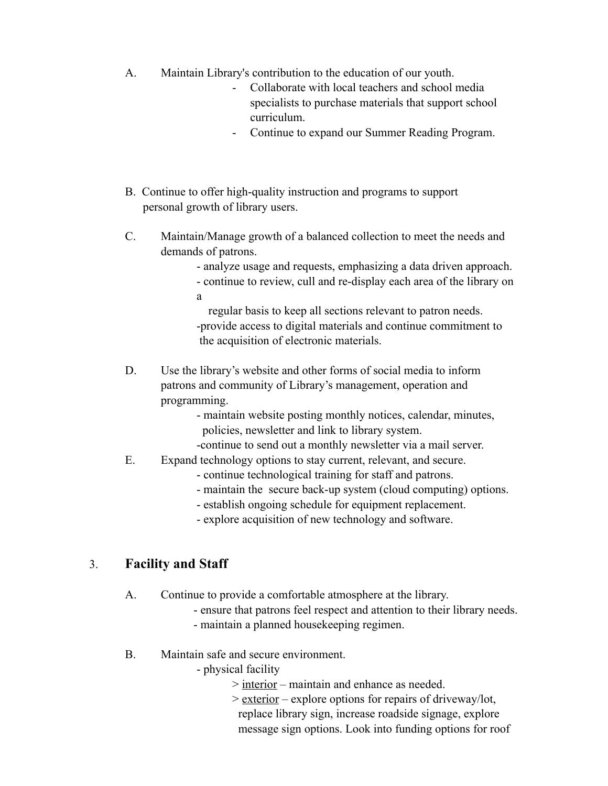- A. Maintain Library's contribution to the education of our youth.
	- Collaborate with local teachers and school media specialists to purchase materials that support school curriculum.
	- Continue to expand our Summer Reading Program.
- B. Continue to offer high-quality instruction and programs to support personal growth of library users.
- C. Maintain/Manage growth of a balanced collection to meet the needs and demands of patrons.

- analyze usage and requests, emphasizing a data driven approach.

- continue to review, cull and re-display each area of the library on a

 regular basis to keep all sections relevant to patron needs. -provide access to digital materials and continue commitment to the acquisition of electronic materials.

- D. Use the library's website and other forms of social media to inform patrons and community of Library's management, operation and programming.
	- maintain website posting monthly notices, calendar, minutes, policies, newsletter and link to library system.
	- -continue to send out a monthly newsletter via a mail server.
- E. Expand technology options to stay current, relevant, and secure.
	- continue technological training for staff and patrons.
	- maintain the secure back-up system (cloud computing) options.
	- establish ongoing schedule for equipment replacement.
	- explore acquisition of new technology and software.

## 3. **Facility and Staff**

A. Continue to provide a comfortable atmosphere at the library.

- ensure that patrons feel respect and attention to their library needs.
- maintain a planned housekeeping regimen.
- B. Maintain safe and secure environment.

- physical facility

- > interior maintain and enhance as needed.
- > exterior explore options for repairs of driveway/lot, replace library sign, increase roadside signage, explore message sign options. Look into funding options for roof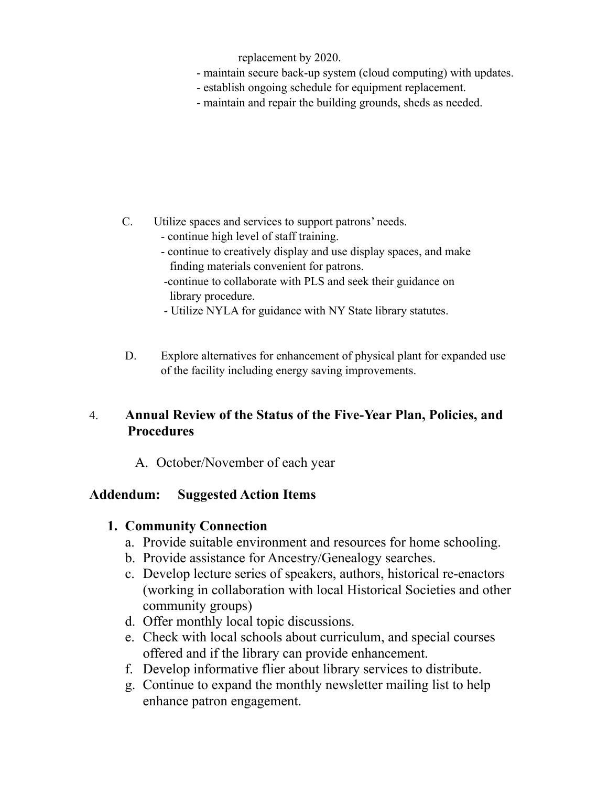replacement by 2020.

- maintain secure back-up system (cloud computing) with updates.
- establish ongoing schedule for equipment replacement.
- maintain and repair the building grounds, sheds as needed.

- C. Utilize spaces and services to support patrons' needs.
	- continue high level of staff training.
	- continue to creatively display and use display spaces, and make finding materials convenient for patrons.
	- -continue to collaborate with PLS and seek their guidance on library procedure.
	- Utilize NYLA for guidance with NY State library statutes.
- D. Explore alternatives for enhancement of physical plant for expanded use of the facility including energy saving improvements.

## 4. **Annual Review of the Status of the Five-Year Plan, Policies, and Procedures**

A. October/November of each year

## **Addendum: Suggested Action Items**

## **1. Community Connection**

- a. Provide suitable environment and resources for home schooling.
- b. Provide assistance for Ancestry/Genealogy searches.
- c. Develop lecture series of speakers, authors, historical re-enactors (working in collaboration with local Historical Societies and other community groups)
- d. Offer monthly local topic discussions.
- e. Check with local schools about curriculum, and special courses offered and if the library can provide enhancement.
- f. Develop informative flier about library services to distribute.
- g. Continue to expand the monthly newsletter mailing list to help enhance patron engagement.